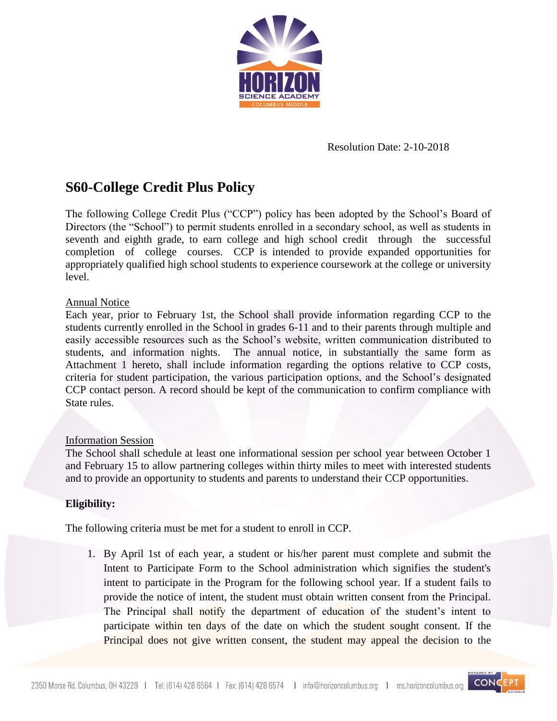

# Resolution Date: 2-10-2018

# **S60-College Credit Plus Policy**

The following College Credit Plus ("CCP") policy has been adopted by the School's Board of Directors (the "School") to permit students enrolled in a secondary school, as well as students in seventh and eighth grade, to earn college and high school credit through the successful completion of college courses. CCP is intended to provide expanded opportunities for appropriately qualified high school students to experience coursework at the college or university level.

# Annual Notice

Each year, prior to February 1st, the School shall provide information regarding CCP to the students currently enrolled in the School in grades 6-11 and to their parents through multiple and easily accessible resources such as the School's website, written communication distributed to students, and information nights. The annual notice, in substantially the same form as Attachment 1 hereto, shall include information regarding the options relative to CCP costs, criteria for student participation, the various participation options, and the School's designated CCP contact person. A record should be kept of the communication to confirm compliance with State rules.

# Information Session

The School shall schedule at least one informational session per school year between October 1 and February 15 to allow partnering colleges within thirty miles to meet with interested students and to provide an opportunity to students and parents to understand their CCP opportunities.

# **Eligibility:**

The following criteria must be met for a student to enroll in CCP.

1. By April 1st of each year, a student or his/her parent must complete and submit the Intent to Participate Form to the School administration which signifies the student's intent to participate in the Program for the following school year. If a student fails to provide the notice of intent, the student must obtain written consent from the Principal. The Principal shall notify the department of education of the student's intent to participate within ten days of the date on which the student sought consent. If the Principal does not give written consent, the student may appeal the decision to the

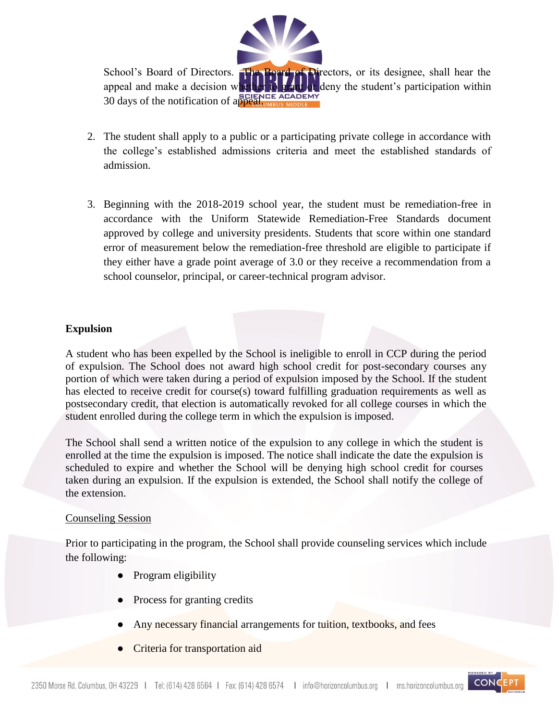

School's Board of Directors. The Board of Directors, or its designee, shall hear the appeal and make a decision whether to grant or deny the student's participation within  $30$  days of the notification of appeal.

- 2. The student shall apply to a public or a participating private college in accordance with the college's established admissions criteria and meet the established standards of admission.
- 3. Beginning with the 2018-2019 school year, the student must be remediation-free in accordance with the Uniform Statewide Remediation-Free Standards document approved by college and university presidents. Students that score within one standard error of measurement below the remediation-free threshold are eligible to participate if they either have a grade point average of 3.0 or they receive a recommendation from a school counselor, principal, or career-technical program advisor.

# **Expulsion**

A student who has been expelled by the School is ineligible to enroll in CCP during the period of expulsion. The School does not award high school credit for post-secondary courses any portion of which were taken during a period of expulsion imposed by the School. If the student has elected to receive credit for course(s) toward fulfilling graduation requirements as well as postsecondary credit, that election is automatically revoked for all college courses in which the student enrolled during the college term in which the expulsion is imposed.

The School shall send a written notice of the expulsion to any college in which the student is enrolled at the time the expulsion is imposed. The notice shall indicate the date the expulsion is scheduled to expire and whether the School will be denying high school credit for courses taken during an expulsion. If the expulsion is extended, the School shall notify the college of the extension.

#### Counseling Session

Prior to participating in the program, the School shall provide counseling services which include the following:

- Program eligibility
- Process for granting credits
- Any necessary financial arrangements for tuition, textbooks, and fees
- **Criteria for transportation aid**

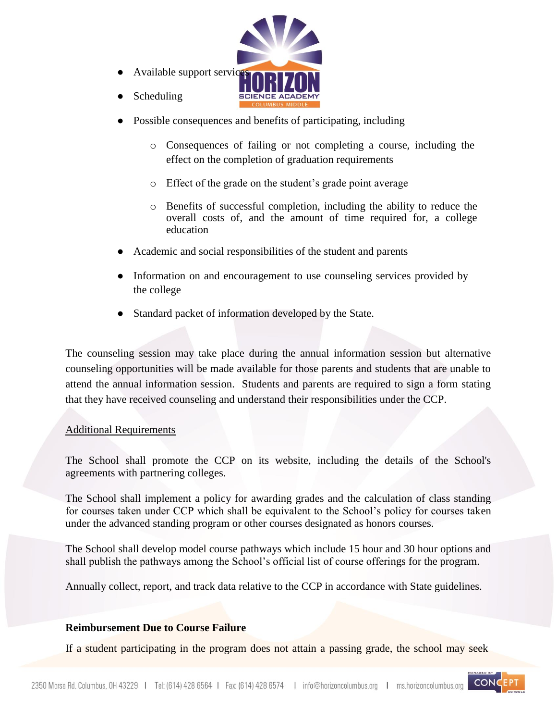

- Possible consequences and benefits of participating, including
	- o Consequences of failing or not completing a course, including the effect on the completion of graduation requirements
	- o Effect of the grade on the student's grade point average
	- o Benefits of successful completion, including the ability to reduce the overall costs of, and the amount of time required for, a college education
- Academic and social responsibilities of the student and parents
- Information on and encouragement to use counseling services provided by the college
- Standard packet of information developed by the State.

The counseling session may take place during the annual information session but alternative counseling opportunities will be made available for those parents and students that are unable to attend the annual information session. Students and parents are required to sign a form stating that they have received counseling and understand their responsibilities under the CCP.

# Additional Requirements

Scheduling

The School shall promote the CCP on its website, including the details of the School's agreements with partnering colleges.

The School shall implement a policy for awarding grades and the calculation of class standing for courses taken under CCP which shall be equivalent to the School's policy for courses taken under the advanced standing program or other courses designated as honors courses.

The School shall develop model course pathways which include 15 hour and 30 hour options and shall publish the pathways among the School's official list of course offerings for the program.

Annually collect, report, and track data relative to the CCP in accordance with State guidelines.

# **Reimbursement Due to Course Failure**

If a student participating in the program does not attain a passing grade, the school may seek